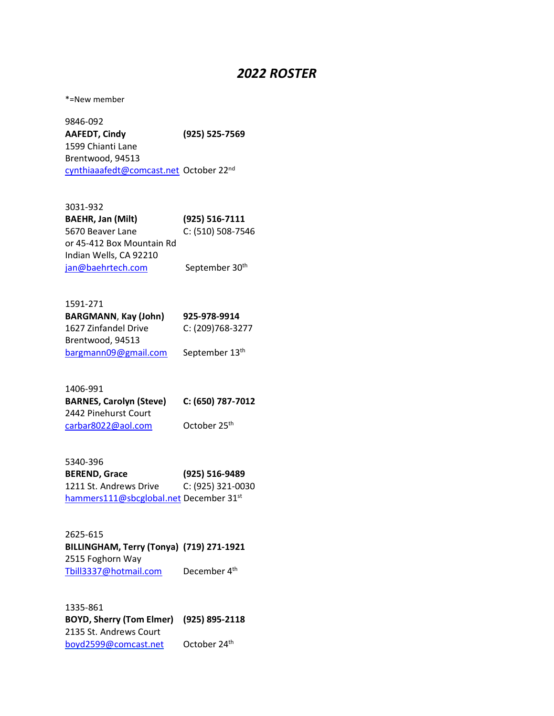## *2022 ROSTER*

\*=New member

9846-092 **AAFEDT, Cindy (925) 525-7569** 1599 Chianti Lane Brentwood, 94513 [cynthiaaafedt@comcast.net](mailto:cynthiaaafedt@comcast.net) October 22nd

| 3031-932                  |                   |
|---------------------------|-------------------|
| <b>BAEHR, Jan (Milt)</b>  | (925) 516-7111    |
| 5670 Beaver Lane          | C: (510) 508-7546 |
| or 45-412 Box Mountain Rd |                   |
| Indian Wells, CA 92210    |                   |
| jan@baehrtech.com         | September 30th    |

| 1591-271                    |                  |
|-----------------------------|------------------|
| <b>BARGMANN, Kay (John)</b> | 925-978-9914     |
| 1627 Zinfandel Drive        | C: (209)768-3277 |
| Brentwood, 94513            |                  |
| bargmann09@gmail.com        | September 13th   |

| 1406-991                       |                   |
|--------------------------------|-------------------|
| <b>BARNES, Carolyn (Steve)</b> | C: (650) 787-7012 |
| 2442 Pinehurst Court           |                   |
| carbar8022@aol.com             | October 25th      |

| 5340-396                               |                   |
|----------------------------------------|-------------------|
| <b>BEREND, Grace</b>                   | (925) 516-9489    |
| 1211 St. Andrews Drive                 | C: (925) 321-0030 |
| hammers111@sbcglobal.net December 31st |                   |

| 2625-615                                 |                          |
|------------------------------------------|--------------------------|
| BILLINGHAM, Terry (Tonya) (719) 271-1921 |                          |
| 2515 Foghorn Way                         |                          |
| Tbill3337@hotmail.com                    | December 4 <sup>th</sup> |

1335-861 **BOYD, Sherry (Tom Elmer) (925) 895-2118** 2135 St. Andrews Court [boyd2599@comcast.net](mailto:boyd2599@comcast.net) October 24th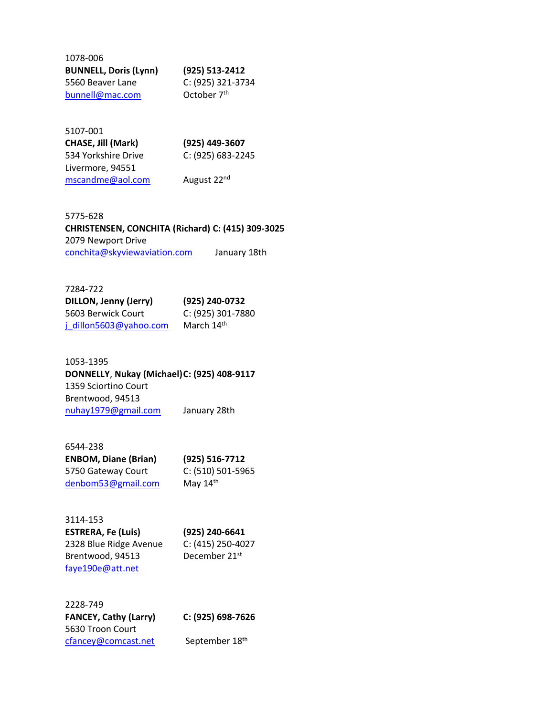| 1078-006                     |                         |
|------------------------------|-------------------------|
| <b>BUNNELL, Doris (Lynn)</b> | (925) 513-2412          |
| 5560 Beaver Lane             | C: (925) 321-3734       |
| bunnell@mac.com              | October 7 <sup>th</sup> |

| 5107-001            |                   |
|---------------------|-------------------|
| CHASE, Jill (Mark)  | (925) 449-3607    |
| 534 Yorkshire Drive | C: (925) 683-2245 |
| Livermore, 94551    |                   |
| mscandme@aol.com    | August 22nd       |

#### 5775-628 **CHRISTENSEN, CONCHITA (Richard) C: (415) 309-3025** 2079 Newport Drive [conchita@skyviewaviation.com](mailto:conchita@skyviewaviation.com) January 18th

| 7284-722               |                   |
|------------------------|-------------------|
| DILLON, Jenny (Jerry)  | (925) 240-0732    |
| 5603 Berwick Court     | C: (925) 301-7880 |
| j dillon5603@yahoo.com | March 14th        |

1053-1395 **DONNELLY**, **Nukay (Michael)C: (925) 408-9117** 1359 Sciortino Court Brentwood, 94513 [nuhay1979@gmail.com](mailto:nuhay1979@gmail.com) January 28th

| 6544-238                    |                   |
|-----------------------------|-------------------|
| <b>ENBOM, Diane (Brian)</b> | (925) 516-7712    |
| 5750 Gateway Court          | C: (510) 501-5965 |
| denbom53@gmail.com          | May $14th$        |

| 3114-153                  |                           |
|---------------------------|---------------------------|
| <b>ESTRERA, Fe (Luis)</b> | (925) 240-6641            |
| 2328 Blue Ridge Avenue    | C: (415) 250-4027         |
| Brentwood, 94513          | December 21 <sup>st</sup> |
| faye190e@att.net          |                           |

2228-749 **FANCEY, Cathy (Larry) C: (925) 698-7626**  5630 Troon Court [cfancey@comcast.net](mailto:cfancey@comcast.net) September 18<sup>th</sup>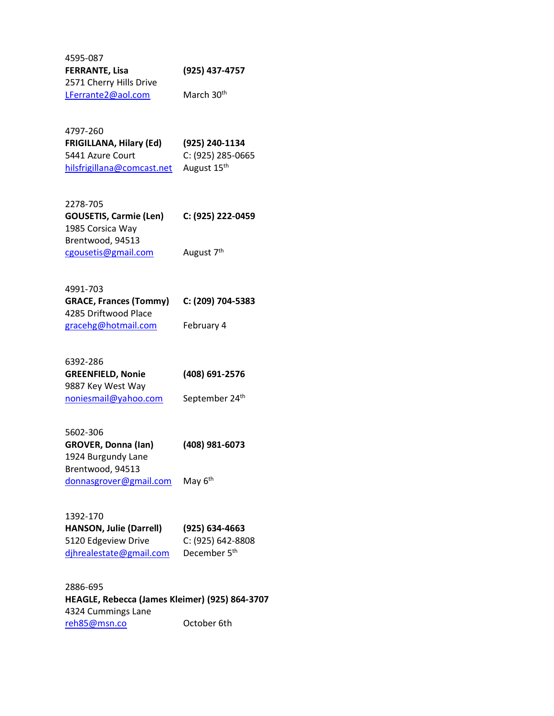| 4595-087                |                        |
|-------------------------|------------------------|
| <b>FERRANTE, Lisa</b>   | (925) 437-4757         |
| 2571 Cherry Hills Drive |                        |
| LFerrante2@aol.com      | March 30 <sup>th</sup> |

4797-260 **FRIGILLANA, Hilary (Ed) (925) 240-1134** 5441 Azure Court C: (925) 285-0665 [hilsfrigillana@comcast.net](mailto:hilsfrigillana@comcast.net) August 15<sup>th</sup>

| 2278-705                      |                        |
|-------------------------------|------------------------|
| <b>GOUSETIS, Carmie (Len)</b> | C: (925) 222-0459      |
| 1985 Corsica Way              |                        |
| Brentwood, 94513              |                        |
| cgousetis@gmail.com           | August 7 <sup>th</sup> |

| 4991-703                      |                   |
|-------------------------------|-------------------|
| <b>GRACE, Frances (Tommy)</b> | C: (209) 704-5383 |
| 4285 Driftwood Place          |                   |
| gracehg@hotmail.com           | February 4        |

| (408) 691-2576 |
|----------------|
|                |
| September 24th |
|                |

5602-306 **GROVER, Donna (Ian) (408) 981-6073** 1924 Burgundy Lane Brentwood, 94513 [donnasgrover@gmail.com](mailto:donnasgrover@gmail.com) May 6<sup>th</sup>

1392-170 **HANSON, Julie (Darrell) (925) 634-4663** 5120 Edgeview Drive C: (925) 642-8808 djhrealestate@gmail.com December 5<sup>th</sup>

2886-695 **HEAGLE, Rebecca (James Kleimer) (925) 864-3707** 4324 Cummings Lane reh85@msn.co October 6th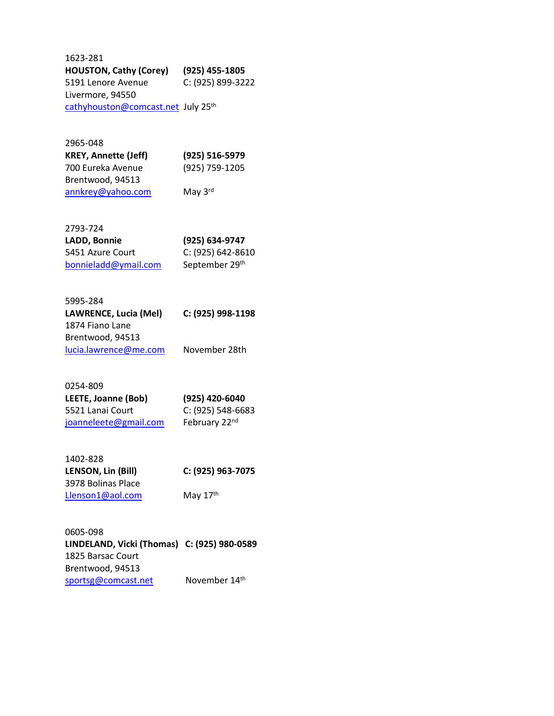1623-281 **HOUSTON, Cathy (Corey) (925) 455-1805** 5191 Lenore Avenue C: (925) 899-3222 Livermore, 94550 [cathyhouston@comcast.net](mailto:cathyhouston@comcast.net) July 25<sup>th</sup>

2965-048 **KREY, Annette (Jeff) (925) 516-5979** 700 Eureka Avenue (925) 759-1205 Brentwood, 94513 [annkrey@yahoo.com](mailto:annkrey@yahoo.com) May 3rd

2793-724 **LADD, Bonnie (925) 634-9747** 5451 Azure Court C: (925) 642-8610

[bonnieladd@ymail.com](mailto:bladd@sandia.gov) September 29th

| 5995-284              |                   |
|-----------------------|-------------------|
| LAWRENCE, Lucia (Mel) | C: (925) 998-1198 |
| 1874 Fiano Lane       |                   |
| Brentwood, 94513      |                   |
| lucia.lawrence@me.com | November 28th     |
|                       |                   |

| 0254-809              |                           |
|-----------------------|---------------------------|
| LEETE, Joanne (Bob)   | (925) 420-6040            |
| 5521 Lanai Court      | C: (925) 548-6683         |
| joanneleete@gmail.com | February 22 <sup>nd</sup> |

| 1402-828           |                   |
|--------------------|-------------------|
| LENSON, Lin (Bill) | C: (925) 963-7075 |
| 3978 Bolinas Place |                   |
| Llenson1@aol.com   | May $17th$        |

0605-098 **LINDELAND, Vicki (Thomas) C: (925) 980-0589** 1825 Barsac Court Brentwood, 94513 [sportsg@comcast.net](mailto:sportsg@comcast.net) November 14th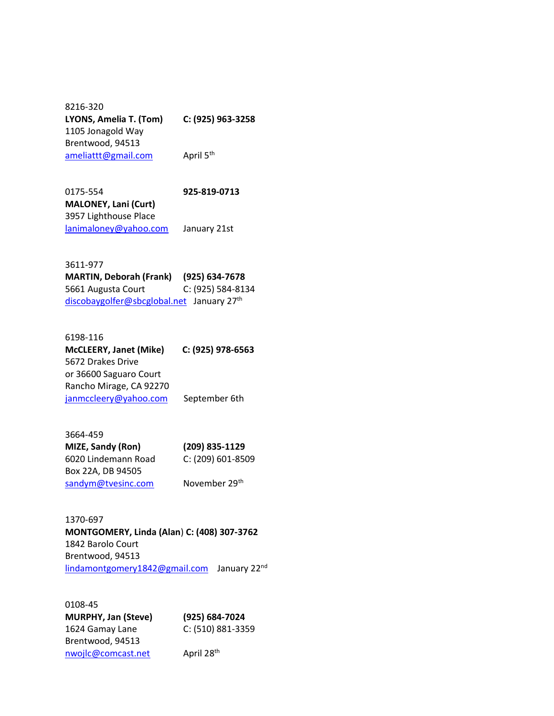8216-320 **LYONS, Amelia T. (Tom) C: (925) 963-3258**  1105 Jonagold Way Brentwood, 94513 [ameliattt@gmail.com](mailto:ameliattt@gmail.com) April 5<sup>th</sup>

0175-554 **925-819-0713 MALONEY, Lani (Curt)** 3957 Lighthouse Place [lanimaloney@yahoo.com](mailto:lanimaloney@yahoo.com) January 21st

3611-977 **MARTIN, Deborah (Frank) (925) 634-7678** 5661 Augusta Court C: (925) 584-8134 [discobaygolfer@sbcglobal.net](mailto:discobaygolfer@sbcglobal.net) January 27<sup>th</sup>

6198-116 **McCLEERY, Janet (Mike) C: (925) 978-6563**  5672 Drakes Drive or 36600 Saguaro Court Rancho Mirage, CA 92270 [janmccleery@yahoo.com](mailto:janmccleery@yahoo.com) September 6th

3664-459 **MIZE, Sandy (Ron) (209) 835-1129** 6020 Lindemann Road C: (209) 601-8509 Box 22A, DB 94505 [sandym@tvesinc.com](mailto:sandym@tvesinc.com) November 29th

1370-697 **MONTGOMERY, Linda (Alan**) **C: (408) 307-3762** 1842 Barolo Court Brentwood, 94513 lindamontgomery1842@gmail.com January 22<sup>nd</sup>

0108-45 **MURPHY, Jan (Steve) (925) 684-7024** 1624 Gamay Lane C: (510) 881-3359 Brentwood, 94513 nwojlc@comcast.net April 28<sup>th</sup>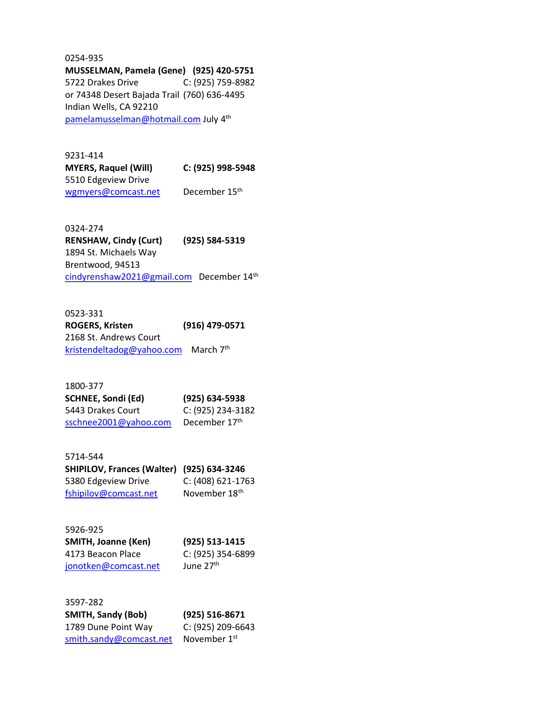0254-935 **MUSSELMAN, Pamela (Gene) (925) 420-5751** 5722 Drakes Drive C: (925) 759-8982 or 74348 Desert Bajada Trail (760) 636-4495 Indian Wells, CA 92210 [pamelamusselman@hotmail.com](mailto:pamelamusselman@hotmail.com) July 4th

9231-414 **MYERS, Raquel (Will) C: (925) 998-5948** 5510 Edgeview Drive [wgmyers@comcast.net](mailto:wgmyers@comcast.net) December 15<sup>th</sup>

0324-274 **RENSHAW, Cindy (Curt) (925) 584-5319** 1894 St. Michaels Way Brentwood, 94513 [cindyrenshaw2021@gmail.com](mailto:cindyrenshaw2021@gmail.com) December 14th

0523-331 **ROGERS, Kristen (916) 479-0571** 2168 St. Andrews Court [kristendeltadog@yahoo.com](mailto:kristendeltadog@yahoo.com) March 7<sup>th</sup>

1800-377 **SCHNEE, Sondi (Ed) (925) 634-5938** 5443 Drakes Court C: (925) 234-3182 [sschnee2001@yahoo.com](mailto:sschnee2001@yahoo.com) December 17<sup>th</sup>

5714-544 **SHIPILOV, Frances (Walter) (925) 634-3246** 5380 Edgeview Drive C: (408) 621-1763 [fshipilov@comcast.net](mailto:fshipilov@comcast.net) November 18<sup>th</sup>

5926-925 **SMITH, Joanne (Ken) (925) 513-1415** 4173 Beacon Place C: (925) 354-6899 [jonotken@comcast.net](mailto:jonotken@comcast.net) June 27<sup>th</sup>

3597-282 **SMITH, Sandy (Bob) (925) 516-8671** 1789 Dune Point Way C: (925) 209-6643 [smith.sandy@comcast.net](mailto:smith.sandy@comcast.net) November 1st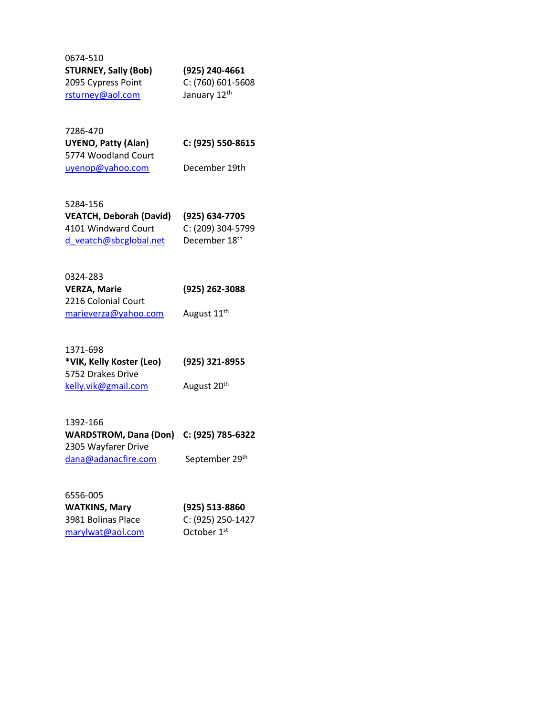| 0674-510                    |                   |
|-----------------------------|-------------------|
| <b>STURNEY, Sally (Bob)</b> | (925) 240-4661    |
| 2095 Cypress Point          | C: (760) 601-5608 |
| rsturney@aol.com            | January 12th      |

| 7286-470                   |            |
|----------------------------|------------|
| <b>UYENO, Patty (Alan)</b> | C: (925) 5 |
| 5774 Woodland Court        |            |
| uyenop@yahoo.com           | Decembe    |

**UYENO, Patty (Alan) C: (925) 550-8615**

er 19th

| 5284-156                       |                   |
|--------------------------------|-------------------|
| <b>VEATCH, Deborah (David)</b> | (925) 634-7705    |
| 4101 Windward Court            | C: (209) 304-5799 |
| d veatch@sbcglobal.net         | December 18th     |

# 0324-283

| <b>VERZA, Marie</b>  | (925) 262-3088          |
|----------------------|-------------------------|
| 2216 Colonial Court  |                         |
| marieverza@yahoo.com | August 11 <sup>th</sup> |

| 1371-698                 |                         |
|--------------------------|-------------------------|
| *VIK, Kelly Koster (Leo) | (925) 321-8955          |
| 5752 Drakes Drive        |                         |
| kelly.vik@gmail.com      | August 20 <sup>th</sup> |

| 1392-166                                |                |
|-----------------------------------------|----------------|
| WARDSTROM, Dana (Don) C: (925) 785-6322 |                |
| 2305 Wayfarer Drive                     |                |
| dana@adanacfire.com                     | September 29th |

| 6556-005             |                         |
|----------------------|-------------------------|
| <b>WATKINS, Mary</b> | (925) 513-8860          |
| 3981 Bolinas Place   | C: (925) 250-1427       |
| marylwat@aol.com     | October 1 <sup>st</sup> |